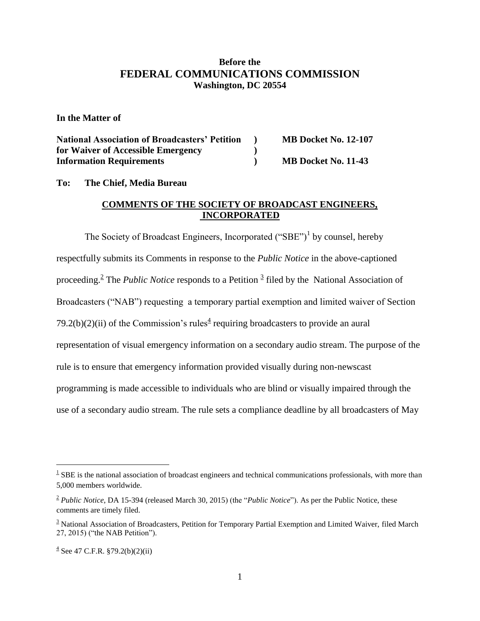## **Before the FEDERAL COMMUNICATIONS COMMISSION Washington, DC 20554**

**In the Matter of**

| <b>National Association of Broadcasters' Petition</b> | <b>MB Docket No. 12-107</b> |
|-------------------------------------------------------|-----------------------------|
| for Waiver of Accessible Emergency                    |                             |
| <b>Information Requirements</b>                       | MB Docket No. 11-43         |

**To: The Chief, Media Bureau**

## **COMMENTS OF THE SOCIETY OF BROADCAST ENGINEERS, INCORPORATED**

The Society of Broadcast Engineers, Incorporated  $("SBE")^1$  by counsel, hereby respectfully submits its Comments in response to the *Public Notice* in the above-captioned proceeding.<sup>2</sup> The *Public Notice* responds to a Petition <sup>3</sup> filed by the National Association of Broadcasters ("NAB") requesting a temporary partial exemption and limited waiver of Section 79.2(b)(2)(ii) of the Commission's rules<sup> $4$ </sup> requiring broadcasters to provide an aural representation of visual emergency information on a secondary audio stream. The purpose of the rule is to ensure that emergency information provided visually during non-newscast programming is made accessible to individuals who are blind or visually impaired through the use of a secondary audio stream. The rule sets a compliance deadline by all broadcasters of May

 $\overline{a}$ 

 $1$  SBE is the national association of broadcast engineers and technical communications professionals, with more than 5,000 members worldwide.

<sup>&</sup>lt;sup>2</sup> *Public Notice*, DA 15-394 (released March 30, 2015) (the "*Public Notice*"). As per the Public Notice, these comments are timely filed.

 $3$  National Association of Broadcasters, Petition for Temporary Partial Exemption and Limited Waiver, filed March 27, 2015) ("the NAB Petition").

 $\frac{4}{3}$  See 47 C.F.R. §79.2(b)(2)(ii)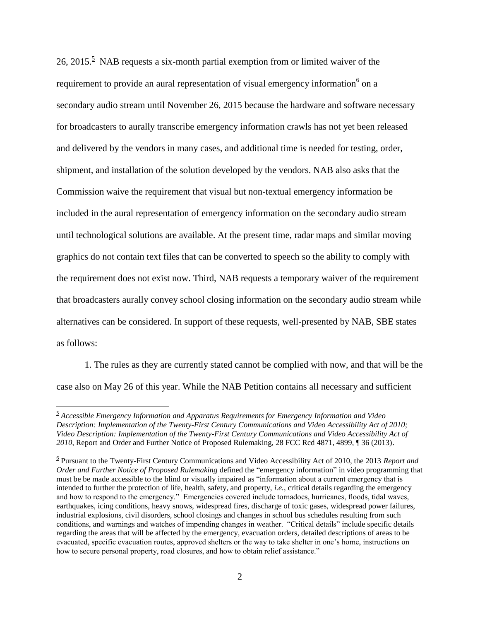26, 2015.<sup>5</sup> NAB requests a six-month partial exemption from or limited waiver of the requirement to provide an aural representation of visual emergency information<sup>6</sup> on a secondary audio stream until November 26, 2015 because the hardware and software necessary for broadcasters to aurally transcribe emergency information crawls has not yet been released and delivered by the vendors in many cases, and additional time is needed for testing, order, shipment, and installation of the solution developed by the vendors. NAB also asks that the Commission waive the requirement that visual but non-textual emergency information be included in the aural representation of emergency information on the secondary audio stream until technological solutions are available. At the present time, radar maps and similar moving graphics do not contain text files that can be converted to speech so the ability to comply with the requirement does not exist now. Third, NAB requests a temporary waiver of the requirement that broadcasters aurally convey school closing information on the secondary audio stream while alternatives can be considered. In support of these requests, well-presented by NAB, SBE states as follows:

1. The rules as they are currently stated cannot be complied with now, and that will be the case also on May 26 of this year. While the NAB Petition contains all necessary and sufficient

 $\overline{a}$ 

<sup>5</sup> *Accessible Emergency Information and Apparatus Requirements for Emergency Information and Video Description: Implementation of the Twenty-First Century Communications and Video Accessibility Act of 2010; Video Description: Implementation of the Twenty-First Century Communications and Video Accessibility Act of 2010*, Report and Order and Further Notice of Proposed Rulemaking, 28 FCC Rcd 4871, 4899, ¶ 36 (2013).

<sup>6</sup> Pursuant to the Twenty-First Century Communications and Video Accessibility Act of 2010, the 2013 *Report and Order and Further Notice of Proposed Rulemaking* defined the "emergency information" in video programming that must be be made accessible to the blind or visually impaired as "information about a current emergency that is intended to further the protection of life, health, safety, and property, *i.e.*, critical details regarding the emergency and how to respond to the emergency." Emergencies covered include tornadoes, hurricanes, floods, tidal waves, earthquakes, icing conditions, heavy snows, widespread fires, discharge of toxic gases, widespread power failures, industrial explosions, civil disorders, school closings and changes in school bus schedules resulting from such conditions, and warnings and watches of impending changes in weather. "Critical details" include specific details regarding the areas that will be affected by the emergency, evacuation orders, detailed descriptions of areas to be evacuated, specific evacuation routes, approved shelters or the way to take shelter in one's home, instructions on how to secure personal property, road closures, and how to obtain relief assistance."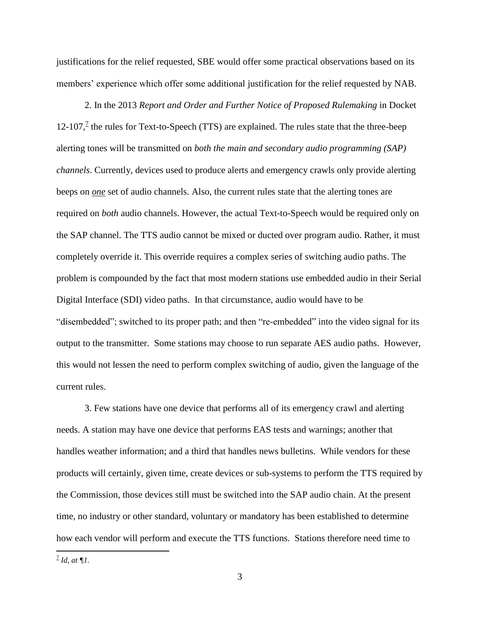justifications for the relief requested, SBE would offer some practical observations based on its members' experience which offer some additional justification for the relief requested by NAB.

2. In the 2013 *Report and Order and Further Notice of Proposed Rulemaking* in Docket  $12\t{-}107$ , the rules for Text-to-Speech (TTS) are explained. The rules state that the three-beep alerting tones will be transmitted on *both the main and secondary audio programming (SAP) channels*. Currently, devices used to produce alerts and emergency crawls only provide alerting beeps on *one* set of audio channels. Also, the current rules state that the alerting tones are required on *both* audio channels. However, the actual Text-to-Speech would be required only on the SAP channel. The TTS audio cannot be mixed or ducted over program audio. Rather, it must completely override it. This override requires a complex series of switching audio paths. The problem is compounded by the fact that most modern stations use embedded audio in their Serial Digital Interface (SDI) video paths. In that circumstance, audio would have to be "disembedded"; switched to its proper path; and then "re-embedded" into the video signal for its output to the transmitter. Some stations may choose to run separate AES audio paths. However, this would not lessen the need to perform complex switching of audio, given the language of the current rules.

3. Few stations have one device that performs all of its emergency crawl and alerting needs. A station may have one device that performs EAS tests and warnings; another that handles weather information; and a third that handles news bulletins. While vendors for these products will certainly, given time, create devices or sub-systems to perform the TTS required by the Commission, those devices still must be switched into the SAP audio chain. At the present time, no industry or other standard, voluntary or mandatory has been established to determine how each vendor will perform and execute the TTS functions. Stations therefore need time to

7 *Id, at ¶1.*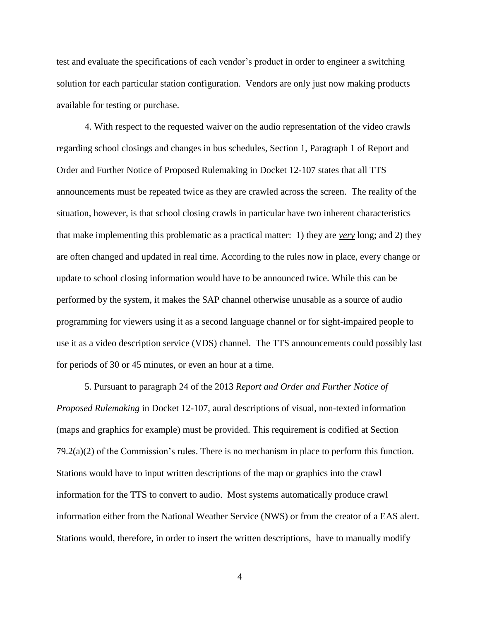test and evaluate the specifications of each vendor's product in order to engineer a switching solution for each particular station configuration. Vendors are only just now making products available for testing or purchase.

4. With respect to the requested waiver on the audio representation of the video crawls regarding school closings and changes in bus schedules, Section 1, Paragraph 1 of Report and Order and Further Notice of Proposed Rulemaking in Docket 12-107 states that all TTS announcements must be repeated twice as they are crawled across the screen. The reality of the situation, however, is that school closing crawls in particular have two inherent characteristics that make implementing this problematic as a practical matter: 1) they are *very* long; and 2) they are often changed and updated in real time. According to the rules now in place, every change or update to school closing information would have to be announced twice. While this can be performed by the system, it makes the SAP channel otherwise unusable as a source of audio programming for viewers using it as a second language channel or for sight-impaired people to use it as a video description service (VDS) channel. The TTS announcements could possibly last for periods of 30 or 45 minutes, or even an hour at a time.

5. Pursuant to paragraph 24 of the 2013 *Report and Order and Further Notice of Proposed Rulemaking* in Docket 12-107, aural descriptions of visual, non-texted information (maps and graphics for example) must be provided. This requirement is codified at Section 79.2(a)(2) of the Commission's rules. There is no mechanism in place to perform this function. Stations would have to input written descriptions of the map or graphics into the crawl information for the TTS to convert to audio. Most systems automatically produce crawl information either from the National Weather Service (NWS) or from the creator of a EAS alert. Stations would, therefore, in order to insert the written descriptions, have to manually modify

4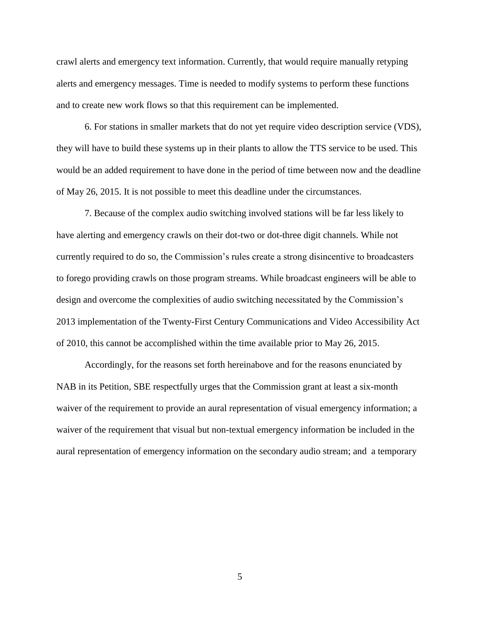crawl alerts and emergency text information. Currently, that would require manually retyping alerts and emergency messages. Time is needed to modify systems to perform these functions and to create new work flows so that this requirement can be implemented.

6. For stations in smaller markets that do not yet require video description service (VDS), they will have to build these systems up in their plants to allow the TTS service to be used. This would be an added requirement to have done in the period of time between now and the deadline of May 26, 2015. It is not possible to meet this deadline under the circumstances.

7. Because of the complex audio switching involved stations will be far less likely to have alerting and emergency crawls on their dot-two or dot-three digit channels. While not currently required to do so, the Commission's rules create a strong disincentive to broadcasters to forego providing crawls on those program streams. While broadcast engineers will be able to design and overcome the complexities of audio switching necessitated by the Commission's 2013 implementation of the Twenty-First Century Communications and Video Accessibility Act of 2010, this cannot be accomplished within the time available prior to May 26, 2015.

Accordingly, for the reasons set forth hereinabove and for the reasons enunciated by NAB in its Petition, SBE respectfully urges that the Commission grant at least a six-month waiver of the requirement to provide an aural representation of visual emergency information; a waiver of the requirement that visual but non-textual emergency information be included in the aural representation of emergency information on the secondary audio stream; and a temporary

5